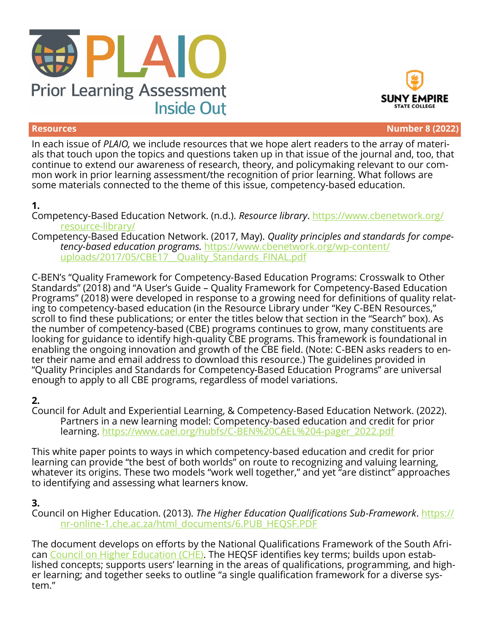



**Resources Number 8 (2022)**

In each issue of *PLAIO,* we include resources that we hope alert readers to the array of materials that touch upon the topics and questions taken up in that issue of the journal and, too, that continue to extend our awareness of research, theory, and policymaking relevant to our common work in prior learning assessment/the recognition of prior learning. What follows are some materials connected to the theme of this issue, competency-based education.

#### **1.**

Competency-Based Education Network. (n.d.). *Resource library*. [https://www.cbenetwork.org/](https://www.cbenetwork.org/resource-library/) [resource](https://www.cbenetwork.org/resource-library/)-library/

Competency-Based Education Network. (2017, May). *Quality principles and standards for competency-based education programs.* [https://www.cbenetwork.org/wp](https://www.cbenetwork.org/wp-content/uploads/2017/05/CBE17__Quality_Standards_FINAL.pdf)-content/ uploads/2017/05/CBE17\_Ouality\_Standards\_FINAL.pdf

C-BEN's "Quality Framework for Competency-Based Education Programs: Crosswalk to Other Standards" (2018) and "A User's Guide – Quality Framework for Competency-Based Education Programs" (2018) were developed in response to a growing need for definitions of quality relating to competency-based education (in the Resource Library under "Key C-BEN Resources," scroll to find these publications; or enter the titles below that section in the "Search" box). As the number of competency-based (CBE) programs continues to grow, many constituents are looking for guidance to identify high-quality CBE programs. This framework is foundational in enabling the ongoing innovation and growth of the CBE field. (Note: C-BEN asks readers to enter their name and email address to download this resource.) The guidelines provided in "Quality Principles and Standards for Competency-Based Education Programs" are universal enough to apply to all CBE programs, regardless of model variations.

#### **2.**

Council for Adult and Experiential Learning, & Competency-Based Education Network. (2022). Partners in a new learning model: Competency-based education and credit for prior learning. [https://www.cael.org/hubfs/C](https://www.cael.org/hubfs/C-BEN%20CAEL%204-pager_2022.pdf)-BEN%20CAEL%204-pager\_2022.pdf

This white paper points to ways in which competency-based education and credit for prior learning can provide "the best of both worlds" on route to recognizing and valuing learning, whatever its origins. These two models "work well together," and yet "are distinct" approaches to identifying and assessing what learners know.

#### **3.**

Council on Higher Education. (2013). *The Higher Education Qualifications Sub-Framework*. [https://](https://nr-online-1.che.ac.za/html_documents/6.PUB_HEQSF.PDF) nr-online-[1.che.ac.za/html\\_documents/6.PUB\\_HEQSF.PDF](https://nr-online-1.che.ac.za/html_documents/6.PUB_HEQSF.PDF)

The document develops on efforts by the National Qualifications Framework of the South Afri-can [Council on Higher Education \(CHE\).](https://www.che.ac.za/) The HEQSF identifies key terms; builds upon established concepts; supports users' learning in the areas of qualifications, programming, and higher learning; and together seeks to outline "a single qualification framework for a diverse system."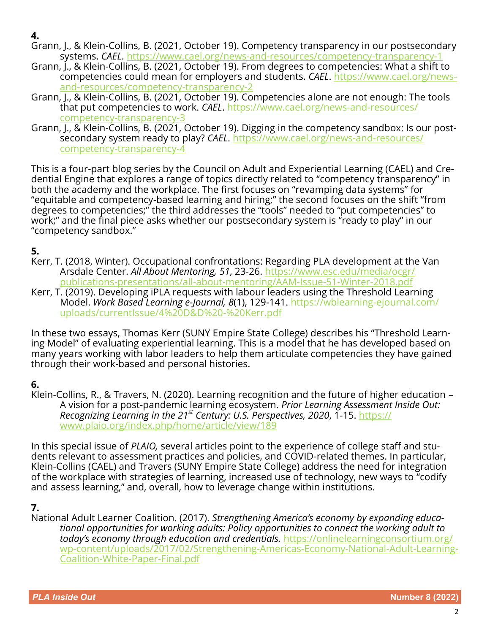### **4.**

- Grann, J., & Klein-Collins, B. (2021, October 19). Competency transparency in our postsecondary systems. *CAEL*. [https://www.cael.org/news](https://www.cael.org/news-and-resources/competency-transparency-1)-and-resources/competency-transparency-1
- Grann, J., & Klein-Collins, B. (2021, October 19). From degrees to competencies: What a shift to competencies could mean for employers and students. *CAEL*. [https://www.cael.org/news](https://www.cael.org/news-and-resources/competency-transparency-2)and-[resources/competency](https://www.cael.org/news-and-resources/competency-transparency-2)-transparency-2
- Grann, J., & Klein-Collins, B. (2021, October 19). Competencies alone are not enough: The tools that put competencies to work. *CAEL*. [https://www.cael.org/news](https://www.cael.org/news-and-resources/competency-transparency-3)-and-resources/ competency-[transparency](https://www.cael.org/news-and-resources/competency-transparency-3)-3
- Grann, J., & Klein-Collins, B. (2021, October 19). Digging in the competency sandbox: Is our postsecondary system ready to play? *CAEL*. [https://www.cael.org/news](https://www.cael.org/news-and-resources/competency-transparency-4)-and-resources/ competency-[transparency](https://www.cael.org/news-and-resources/competency-transparency-4)-4

This is a four-part blog series by the Council on Adult and Experiential Learning (CAEL) and Credential Engine that explores a range of topics directly related to "competency transparency" in both the academy and the workplace. The first focuses on "revamping data systems" for "equitable and competency-based learning and hiring;" the second focuses on the shift "from degrees to competencies;" the third addresses the "tools" needed to "put competencies" to work;" and the final piece asks whether our postsecondary system is "ready to play" in our "competency sandbox."

# **5.**

- Kerr, T. (2018, Winter). Occupational confrontations: Regarding PLA development at the Van Arsdale Center. *All About Mentoring, 51*, 23-26. [https://www.esc.edu/media/ocgr/](https://www.esc.edu/media/ocgr/publications-presentations/all-about-mentoring/AAM-Issue-51-Winter-2018.pdf) publications-[presentations/all](https://www.esc.edu/media/ocgr/publications-presentations/all-about-mentoring/AAM-Issue-51-Winter-2018.pdf)-about-mentoring/AAM-Issue-51-Winter-2018.pdf
- Kerr, T. (2019). Developing iPLA requests with labour leaders using the Threshold Learning Model. *Work Based Learning e-Journal, 8*(1), 129-141. [https://wblearning](https://wblearning-ejournal.com/uploads/currentIssue/4%20D&D%20-%20Kerr.pdf)-ejournal.com/ [uploads/currentIssue/4%20D&D%20](https://wblearning-ejournal.com/uploads/currentIssue/4%20D&D%20-%20Kerr.pdf)-%20Kerr.pdf

In these two essays, Thomas Kerr (SUNY Empire State College) describes his "Threshold Learning Model" of evaluating experiential learning. This is a model that he has developed based on many years working with labor leaders to help them articulate competencies they have gained through their work-based and personal histories.

## **6.**

Klein-Collins, R., & Travers, N. (2020). Learning recognition and the future of higher education – A vision for a post-pandemic learning ecosystem. *Prior Learning Assessment Inside Out: Recognizing Learning in the 21st Century: U.S. Perspectives, 2020*, 1-15. [https://](https://www.plaio.org/index.php/home/article/view/189) [www.plaio.org/index.php/home/article/view/189](https://www.plaio.org/index.php/home/article/view/189)

In this special issue of *PLAIO,* several articles point to the experience of college staff and students relevant to assessment practices and policies, and COVID-related themes. In particular, Klein-Collins (CAEL) and Travers (SUNY Empire State College) address the need for integration of the workplace with strategies of learning, increased use of technology, new ways to "codify and assess learning," and, overall, how to leverage change within institutions.

## **7.**

National Adult Learner Coalition. (2017). *Strengthening America's economy by expanding educational opportunities for working adults: Policy opportunities to connect the working adult to today's economy through education and credentials.* [https://onlinelearningconsortium.org/](https://onlinelearningconsortium.org/wp-content/uploads/2017/02/Strengthening-Americas-Economy-National-Adult-Learning-Coalition-White-Paper-Final.pdf) wp-[content/uploads/2017/02/Strengthening](https://onlinelearningconsortium.org/wp-content/uploads/2017/02/Strengthening-Americas-Economy-National-Adult-Learning-Coalition-White-Paper-Final.pdf)-Americas-Economy-National-Adult-Learning-[Coalition](https://onlinelearningconsortium.org/wp-content/uploads/2017/02/Strengthening-Americas-Economy-National-Adult-Learning-Coalition-White-Paper-Final.pdf)-White-Paper-Final.pdf